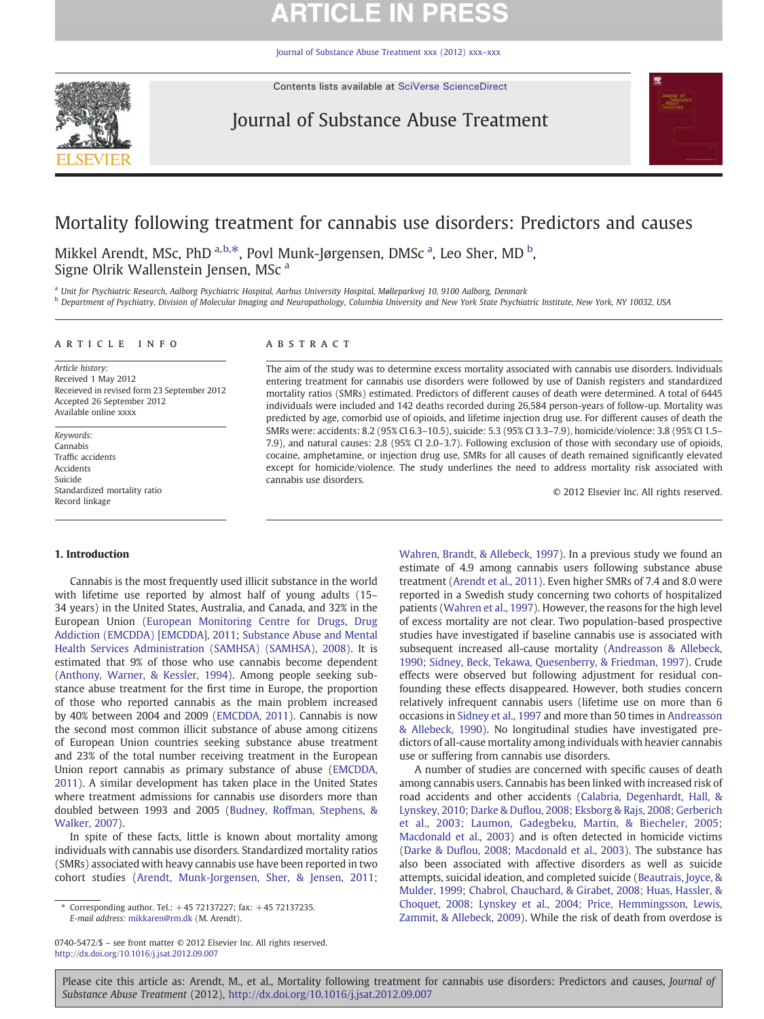# **ARTICLE IN PRESS**

[Journal of Substance Abuse Treatment xxx \(2012\) xxx](http://dx.doi.org/10.1016/j.jsat.2012.09.007)–xxx



Contents lists available at [SciVerse ScienceDirect](http://www.sciencedirect.com/science/journal/07405472)

# Journal of Substance Abuse Treatment



# Mortality following treatment for cannabis use disorders: Predictors and causes

Mikkel Arendt, MSc, PhD <sup>a,b,\*</sup>, Povl Munk-Jørgensen, DMSc <sup>a</sup>, Leo Sher, MD <sup>b</sup>, Signe Olrik Wallenstein Jensen, MSc<sup>a</sup>

a Unit for Psychiatric Research, Aalborg Psychiatric Hospital, Aarhus University Hospital, Mølleparkvej 10, 9100 Aalborg, Denmark b Department of Psychiatry, Division of Molecular Imaging and Neuropathology, Columbia University and New York State Psychiatric Institute, New York, NY 10032, USA

### article info abstract

Article history: Received 1 May 2012 Receieved in revised form 23 September 2012 Accepted 26 September 2012 Available online xxxx

Keywords: Cannabis Traffic accidents Accidents Suicide Standardized mortality ratio Record linkage

The aim of the study was to determine excess mortality associated with cannabis use disorders. Individuals entering treatment for cannabis use disorders were followed by use of Danish registers and standardized mortality ratios (SMRs) estimated. Predictors of different causes of death were determined. A total of 6445 individuals were included and 142 deaths recorded during 26,584 person-years of follow-up. Mortality was predicted by age, comorbid use of opioids, and lifetime injection drug use. For different causes of death the SMRs were: accidents: 8.2 (95% CI 6.3–10.5), suicide: 5.3 (95% CI 3.3–7.9), homicide/violence: 3.8 (95% CI 1.5– 7.9), and natural causes: 2.8 (95% CI 2.0–3.7). Following exclusion of those with secondary use of opioids, cocaine, amphetamine, or injection drug use, SMRs for all causes of death remained significantly elevated except for homicide/violence. The study underlines the need to address mortality risk associated with cannabis use disorders.

© 2012 Elsevier Inc. All rights reserved.

### 1. Introduction

Cannabis is the most frequently used illicit substance in the world with lifetime use reported by almost half of young adults (15– 34 years) in the United States, Australia, and Canada, and 32% in the European Union [\(European Monitoring Centre for Drugs, Drug](#page-5-0) [Addiction \(EMCDDA\) \[EMCDDA\], 2011;](#page-5-0) [Substance Abuse and Mental](#page-6-0) [Health Services Administration \(SAMHSA\) \(SAMHSA\), 2008](#page-6-0)). It is estimated that 9% of those who use cannabis become dependent [\(Anthony, Warner, & Kessler, 1994](#page-5-0)). Among people seeking substance abuse treatment for the first time in Europe, the proportion of those who reported cannabis as the main problem increased by 40% between 2004 and 2009 [\(EMCDDA, 2011\)](#page-5-0). Cannabis is now the second most common illicit substance of abuse among citizens of European Union countries seeking substance abuse treatment and 23% of the total number receiving treatment in the European Union report cannabis as primary substance of abuse ([EMCDDA,](#page-5-0) [2011\)](#page-5-0). A similar development has taken place in the United States where treatment admissions for cannabis use disorders more than doubled between 1993 and 2005 ([Budney, Roffman, Stephens, &](#page-5-0) [Walker, 2007\)](#page-5-0).

In spite of these facts, little is known about mortality among individuals with cannabis use disorders. Standardized mortality ratios (SMRs) associated with heavy cannabis use have been reported in two cohort studies ([Arendt, Munk-Jorgensen, Sher, & Jensen, 2011;](#page-5-0)

[Wahren, Brandt, & Allebeck, 1997](#page-5-0)). In a previous study we found an estimate of 4.9 among cannabis users following substance abuse treatment [\(Arendt et al., 2011\)](#page-5-0). Even higher SMRs of 7.4 and 8.0 were reported in a Swedish study concerning two cohorts of hospitalized patients [\(Wahren et al., 1997\)](#page-6-0). However, the reasons for the high level of excess mortality are not clear. Two population-based prospective studies have investigated if baseline cannabis use is associated with subsequent increased all-cause mortality ([Andreasson & Allebeck,](#page-5-0) [1990; Sidney, Beck, Tekawa, Quesenberry, & Friedman, 1997](#page-5-0)). Crude effects were observed but following adjustment for residual confounding these effects disappeared. However, both studies concern relatively infrequent cannabis users (lifetime use on more than 6 occasions in [Sidney et al., 1997](#page-5-0) and more than 50 times in [Andreasson](#page-5-0) [& Allebeck, 1990\)](#page-5-0). No longitudinal studies have investigated predictors of all-cause mortality among individuals with heavier cannabis use or suffering from cannabis use disorders.

A number of studies are concerned with specific causes of death among cannabis users. Cannabis has been linked with increased risk of road accidents and other accidents ([Calabria, Degenhardt, Hall, &](#page-5-0) Lynskey, 2010; Darke & Dufl[ou, 2008; Eksborg & Rajs, 2008; Gerberich](#page-5-0) [et al., 2003; Laumon, Gadegbeku, Martin, & Biecheler, 2005;](#page-5-0) [Macdonald et al., 2003\)](#page-5-0) and is often detected in homicide victims (Darke & Dufl[ou, 2008; Macdonald et al., 2003](#page-5-0)). The substance has also been associated with affective disorders as well as suicide attempts, suicidal ideation, and completed suicide [\(Beautrais, Joyce, &](#page-5-0) [Mulder, 1999; Chabrol, Chauchard, & Girabet, 2008; Huas, Hassler, &](#page-5-0) [Choquet, 2008; Lynskey et al., 2004; Price, Hemmingsson, Lewis,](#page-5-0) [Zammit, & Allebeck, 2009\)](#page-5-0). While the risk of death from overdose is

0740-5472/\$ – see front matter © 2012 Elsevier Inc. All rights reserved. <http://dx.doi.org/10.1016/j.jsat.2012.09.007>

<sup>⁎</sup> Corresponding author. Tel.: +45 72137227; fax: +45 72137235. E-mail address: [mikkaren@rm.dk](mailto:mikkaren@rm.dk) (M. Arendt).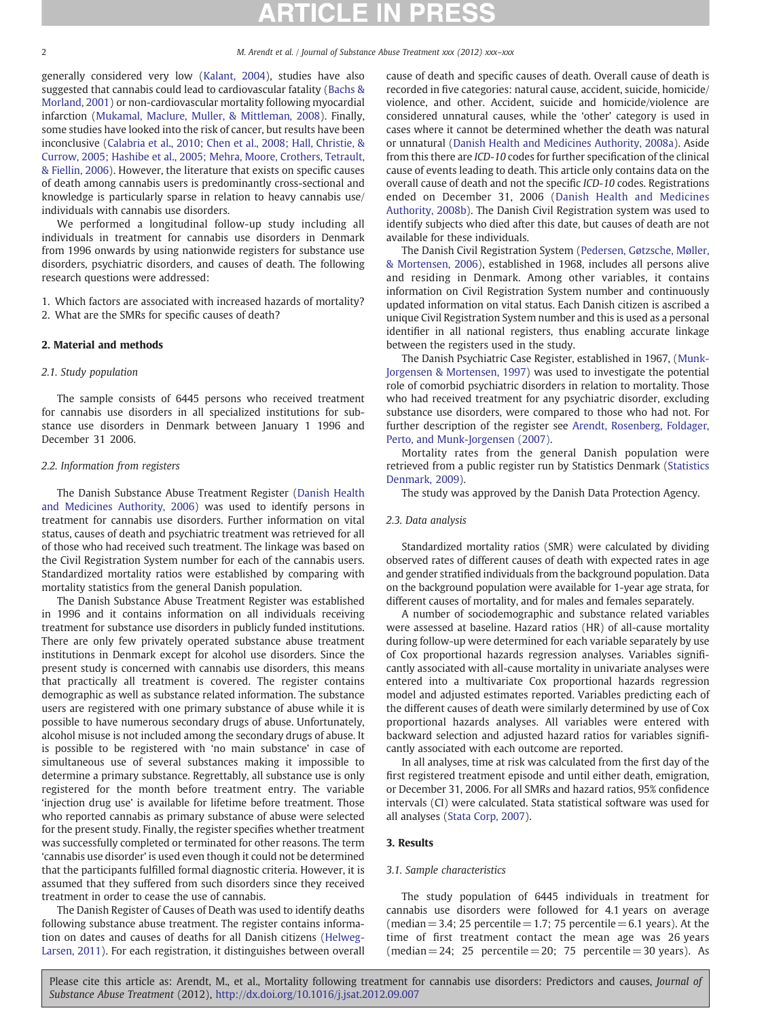generally considered very low [\(Kalant, 2004](#page-5-0)), studies have also suggested that cannabis could lead to cardiovascular fatality [\(Bachs &](#page-5-0) [Morland, 2001](#page-5-0)) or non-cardiovascular mortality following myocardial infarction ([Mukamal, Maclure, Muller, & Mittleman, 2008\)](#page-5-0). Finally, some studies have looked into the risk of cancer, but results have been inconclusive ([Calabria et al., 2010; Chen et al., 2008; Hall, Christie, &](#page-5-0) [Currow, 2005; Hashibe et al., 2005; Mehra, Moore, Crothers, Tetrault,](#page-5-0) [& Fiellin, 2006\)](#page-5-0). However, the literature that exists on specific causes of death among cannabis users is predominantly cross-sectional and knowledge is particularly sparse in relation to heavy cannabis use/ individuals with cannabis use disorders.

We performed a longitudinal follow-up study including all individuals in treatment for cannabis use disorders in Denmark from 1996 onwards by using nationwide registers for substance use disorders, psychiatric disorders, and causes of death. The following research questions were addressed:

1. Which factors are associated with increased hazards of mortality? 2. What are the SMRs for specific causes of death?

### 2. Material and methods

### 2.1. Study population

The sample consists of 6445 persons who received treatment for cannabis use disorders in all specialized institutions for substance use disorders in Denmark between January 1 1996 and December 31 2006.

### 2.2. Information from registers

The Danish Substance Abuse Treatment Register [\(Danish Health](#page-5-0) [and Medicines Authority, 2006](#page-5-0)) was used to identify persons in treatment for cannabis use disorders. Further information on vital status, causes of death and psychiatric treatment was retrieved for all of those who had received such treatment. The linkage was based on the Civil Registration System number for each of the cannabis users. Standardized mortality ratios were established by comparing with mortality statistics from the general Danish population.

The Danish Substance Abuse Treatment Register was established in 1996 and it contains information on all individuals receiving treatment for substance use disorders in publicly funded institutions. There are only few privately operated substance abuse treatment institutions in Denmark except for alcohol use disorders. Since the present study is concerned with cannabis use disorders, this means that practically all treatment is covered. The register contains demographic as well as substance related information. The substance users are registered with one primary substance of abuse while it is possible to have numerous secondary drugs of abuse. Unfortunately, alcohol misuse is not included among the secondary drugs of abuse. It is possible to be registered with 'no main substance' in case of simultaneous use of several substances making it impossible to determine a primary substance. Regrettably, all substance use is only registered for the month before treatment entry. The variable 'injection drug use' is available for lifetime before treatment. Those who reported cannabis as primary substance of abuse were selected for the present study. Finally, the register specifies whether treatment was successfully completed or terminated for other reasons. The term 'cannabis use disorder' is used even though it could not be determined that the participants fulfilled formal diagnostic criteria. However, it is assumed that they suffered from such disorders since they received treatment in order to cease the use of cannabis.

The Danish Register of Causes of Death was used to identify deaths following substance abuse treatment. The register contains information on dates and causes of deaths for all Danish citizens ([Helweg-](#page-5-0)[Larsen, 2011\)](#page-5-0). For each registration, it distinguishes between overall cause of death and specific causes of death. Overall cause of death is recorded in five categories: natural cause, accident, suicide, homicide/ violence, and other. Accident, suicide and homicide/violence are considered unnatural causes, while the 'other' category is used in cases where it cannot be determined whether the death was natural or unnatural [\(Danish Health and Medicines Authority, 2008a\)](#page-5-0). Aside from this there are ICD-10 codes for further specification of the clinical cause of events leading to death. This article only contains data on the overall cause of death and not the specific ICD-10 codes. Registrations ended on December 31, 2006 ([Danish Health and Medicines](#page-5-0) [Authority, 2008b](#page-5-0)). The Danish Civil Registration system was used to identify subjects who died after this date, but causes of death are not available for these individuals.

The Danish Civil Registration System ([Pedersen, Gøtzsche, Møller,](#page-5-0) [& Mortensen, 2006\)](#page-5-0), established in 1968, includes all persons alive and residing in Denmark. Among other variables, it contains information on Civil Registration System number and continuously updated information on vital status. Each Danish citizen is ascribed a unique Civil Registration System number and this is used as a personal identifier in all national registers, thus enabling accurate linkage between the registers used in the study.

The Danish Psychiatric Case Register, established in 1967, ([Munk-](#page-5-0)[Jorgensen & Mortensen, 1997](#page-5-0)) was used to investigate the potential role of comorbid psychiatric disorders in relation to mortality. Those who had received treatment for any psychiatric disorder, excluding substance use disorders, were compared to those who had not. For further description of the register see [Arendt, Rosenberg, Foldager,](#page-5-0) [Perto, and Munk-Jorgensen \(2007\).](#page-5-0)

Mortality rates from the general Danish population were retrieved from a public register run by Statistics Denmark [\(Statistics](#page-6-0) [Denmark, 2009\)](#page-6-0).

The study was approved by the Danish Data Protection Agency.

### 2.3. Data analysis

Standardized mortality ratios (SMR) were calculated by dividing observed rates of different causes of death with expected rates in age and gender stratified individuals from the background population. Data on the background population were available for 1-year age strata, for different causes of mortality, and for males and females separately.

A number of sociodemographic and substance related variables were assessed at baseline. Hazard ratios (HR) of all-cause mortality during follow-up were determined for each variable separately by use of Cox proportional hazards regression analyses. Variables significantly associated with all-cause mortality in univariate analyses were entered into a multivariate Cox proportional hazards regression model and adjusted estimates reported. Variables predicting each of the different causes of death were similarly determined by use of Cox proportional hazards analyses. All variables were entered with backward selection and adjusted hazard ratios for variables significantly associated with each outcome are reported.

In all analyses, time at risk was calculated from the first day of the first registered treatment episode and until either death, emigration, or December 31, 2006. For all SMRs and hazard ratios, 95% confidence intervals (CI) were calculated. Stata statistical software was used for all analyses [\(Stata Corp, 2007](#page-5-0)).

### 3. Results

### 3.1. Sample characteristics

The study population of 6445 individuals in treatment for cannabis use disorders were followed for 4.1 years on average (median  $= 3.4$ ; 25 percentile  $= 1.7$ ; 75 percentile  $= 6.1$  years). At the time of first treatment contact the mean age was 26 years (median  $= 24$ ; 25 percentile  $= 20$ ; 75 percentile  $= 30$  years). As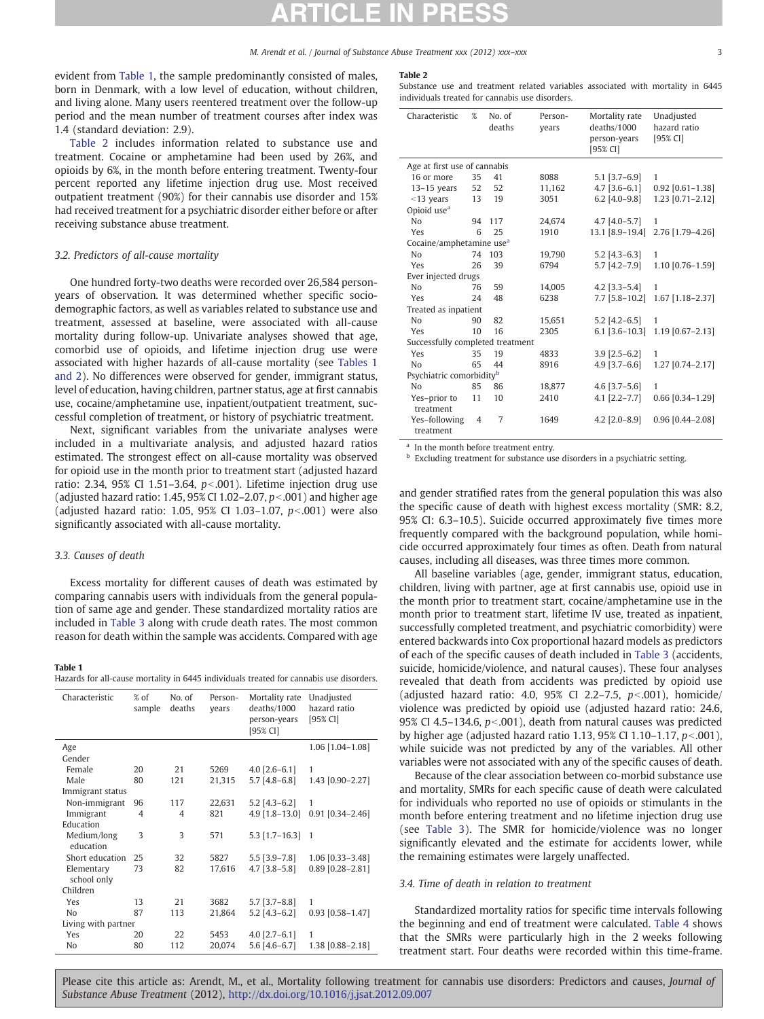evident from Table 1, the sample predominantly consisted of males, born in Denmark, with a low level of education, without children, and living alone. Many users reentered treatment over the follow-up period and the mean number of treatment courses after index was 1.4 (standard deviation: 2.9).

Table 2 includes information related to substance use and treatment. Cocaine or amphetamine had been used by 26%, and opioids by 6%, in the month before entering treatment. Twenty-four percent reported any lifetime injection drug use. Most received outpatient treatment (90%) for their cannabis use disorder and 15% had received treatment for a psychiatric disorder either before or after receiving substance abuse treatment.

### 3.2. Predictors of all-cause mortality

One hundred forty-two deaths were recorded over 26,584 personyears of observation. It was determined whether specific sociodemographic factors, as well as variables related to substance use and treatment, assessed at baseline, were associated with all-cause mortality during follow-up. Univariate analyses showed that age, comorbid use of opioids, and lifetime injection drug use were associated with higher hazards of all-cause mortality (see Tables 1 and 2). No differences were observed for gender, immigrant status, level of education, having children, partner status, age at first cannabis use, cocaine/amphetamine use, inpatient/outpatient treatment, successful completion of treatment, or history of psychiatric treatment.

Next, significant variables from the univariate analyses were included in a multivariate analysis, and adjusted hazard ratios estimated. The strongest effect on all-cause mortality was observed for opioid use in the month prior to treatment start (adjusted hazard ratio: 2.34, 95% CI 1.51–3.64,  $p<0.001$ ). Lifetime injection drug use (adjusted hazard ratio: 1.45, 95% CI 1.02–2.07,  $p<0.01$ ) and higher age (adjusted hazard ratio: 1.05, 95% CI 1.03-1.07,  $p$ <.001) were also significantly associated with all-cause mortality.

### 3.3. Causes of death

Excess mortality for different causes of death was estimated by comparing cannabis users with individuals from the general population of same age and gender. These standardized mortality ratios are included in [Table 3](#page-3-0) along with crude death rates. The most common reason for death within the sample was accidents. Compared with age

### Table 1

|  |  |  |  |  | Hazards for all-cause mortality in 6445 individuals treated for cannabis use disorders. |  |  |  |  |
|--|--|--|--|--|-----------------------------------------------------------------------------------------|--|--|--|--|
|--|--|--|--|--|-----------------------------------------------------------------------------------------|--|--|--|--|

| Characteristic            | $%$ of<br>sample | No. of<br>deaths | Person-<br>vears | Mortality rate<br>deaths/1000<br>person-years<br>[95% CI] | Unadjusted<br>hazard ratio<br>[95% CI] |
|---------------------------|------------------|------------------|------------------|-----------------------------------------------------------|----------------------------------------|
| Age                       |                  |                  |                  |                                                           | 1.06 [1.04-1.08]                       |
| Gender                    |                  |                  |                  |                                                           |                                        |
| Female                    | 20               | 21               | 5269             | $4.0$ [2.6-6.1]                                           | 1                                      |
| Male                      | 80               | 121              | 21,315           | $5.7$ [4.8-6.8]                                           | 1.43 [0.90-2.27]                       |
| Immigrant status          |                  |                  |                  |                                                           |                                        |
| Non-immigrant             | 96               | 117              | 22,631           | $5.2$ [4.3-6.2]                                           | 1                                      |
| Immigrant                 | 4                | 4                | 821              | $4.9$ [1.8-13.0]                                          | $0.91$ [0.34-2.46]                     |
| Education                 |                  |                  |                  |                                                           |                                        |
| Medium/long<br>education  | 3                | 3                | 571              | $5.3$ [1.7-16.3]                                          | $\mathbf{1}$                           |
| Short education           | 25               | 32               | 5827             | $5.5$ [3.9-7.8]                                           | 1.06 [0.33-3.48]                       |
| Elementary<br>school only | 73               | 82               | 17,616           | $4.7$ [3.8-5.8]                                           | $0.89$ [0.28-2.81]                     |
| Children                  |                  |                  |                  |                                                           |                                        |
| Yes                       | 13               | 21               | 3682             | $5.7$ [3.7-8.8]                                           | 1                                      |
| No                        | 87               | 113              | 21,864           | $5.2$ [4.3-6.2]                                           | $0.93$ [0.58-1.47]                     |
| Living with partner       |                  |                  |                  |                                                           |                                        |
| Yes                       | 20               | 22               | 5453             | $4.0$ [2.7-6.1]                                           | 1                                      |
| No                        | 80               | 112              | 20,074           | $5.6$ [4.6-6.7]                                           | 1.38 [0.88-2.18]                       |

### Table 2

Substance use and treatment related variables associated with mortality in 6445 individuals treated for cannabis use disorders.

| Characteristic                       | %              | No. of<br>deaths | Person-<br>vears | Mortality rate<br>deaths/1000<br>person-years<br>[95% CI] | Unadjusted<br>hazard ratio<br>[95% CI] |  |  |  |
|--------------------------------------|----------------|------------------|------------------|-----------------------------------------------------------|----------------------------------------|--|--|--|
| Age at first use of cannabis         |                |                  |                  |                                                           |                                        |  |  |  |
| 16 or more                           | 35             | 41               | 8088             | $5.1$ [3.7-6.9]                                           | 1                                      |  |  |  |
| $13-15$ years                        | 52             | 52               | 11,162           | $4.7$ [3.6-6.1]                                           | $0.92$ [0.61-1.38]                     |  |  |  |
| $<$ 13 years                         | 13             | 19               | 3051             | $6.2$ [4.0-9.8]                                           | 1.23 [0.71-2.12]                       |  |  |  |
| Opioid use <sup>a</sup>              |                |                  |                  |                                                           |                                        |  |  |  |
| N <sub>0</sub>                       | 94             | 117              | 24,674           | $4.7$ [ $4.0 - 5.7$ ]                                     | 1                                      |  |  |  |
| Yes                                  | 6              | 25               | 1910             | 13.1 [8.9-19.4]                                           | 2.76 [1.79-4.26]                       |  |  |  |
| Cocaine/amphetamine use <sup>a</sup> |                |                  |                  |                                                           |                                        |  |  |  |
| N <sub>0</sub>                       | 74             | 103              | 19,790           | $5.2$ [4.3-6.3]                                           | 1                                      |  |  |  |
| Yes                                  | 26             | 39               | 6794             | $5.7$ [4.2-7.9]                                           | 1.10 [0.76-1.59]                       |  |  |  |
| Ever injected drugs                  |                |                  |                  |                                                           |                                        |  |  |  |
| N <sub>0</sub>                       | 76             | 59               | 14,005           | $4.2$ [3.3-5.4]                                           | 1                                      |  |  |  |
| Yes                                  | 24             | 48               | 6238             | $7.7$ [5.8-10.2]                                          | 1.67 [1.18-2.37]                       |  |  |  |
| Treated as inpatient                 |                |                  |                  |                                                           |                                        |  |  |  |
| N <sub>0</sub>                       | 90             | 82               | 15.651           | $5.2$ [4.2-6.5]                                           | 1                                      |  |  |  |
| Yes                                  | 10             | 16               | 2305             | $6.1$ [3.6-10.3]                                          | 1.19 [0.67-2.13]                       |  |  |  |
| Successfully completed treatment     |                |                  |                  |                                                           |                                        |  |  |  |
| Yes                                  | 35             | 19               | 4833             | $3.9$ [2.5-6.2]                                           | 1                                      |  |  |  |
| No                                   | 65             | 44               | 8916             | $4.9$ [3.7-6.6]                                           | 1.27 [0.74-2.17]                       |  |  |  |
| Psychiatric comorbidity <sup>b</sup> |                |                  |                  |                                                           |                                        |  |  |  |
| No                                   | 85             | 86               | 18,877           | $4.6$ [3.7-5.6]                                           | 1                                      |  |  |  |
| Yes-prior to                         | 11             | 10               | 2410             | $4.1$ [2.2-7.7]                                           | $0.66$ [0.34-1.29]                     |  |  |  |
| treatment                            |                |                  |                  |                                                           |                                        |  |  |  |
| Yes-following                        | $\overline{4}$ | 7                | 1649             | $4.2$ [2.0-8.9]                                           | $0.96$ [0.44-2.08]                     |  |  |  |
| treatment                            |                |                  |                  |                                                           |                                        |  |  |  |

<sup>a</sup> In the month before treatment entry.

<sup>b</sup> Excluding treatment for substance use disorders in a psychiatric setting.

and gender stratified rates from the general population this was also the specific cause of death with highest excess mortality (SMR: 8.2, 95% CI: 6.3–10.5). Suicide occurred approximately five times more frequently compared with the background population, while homicide occurred approximately four times as often. Death from natural causes, including all diseases, was three times more common.

All baseline variables (age, gender, immigrant status, education, children, living with partner, age at first cannabis use, opioid use in the month prior to treatment start, cocaine/amphetamine use in the month prior to treatment start, lifetime IV use, treated as inpatient, successfully completed treatment, and psychiatric comorbidity) were entered backwards into Cox proportional hazard models as predictors of each of the specific causes of death included in [Table 3](#page-3-0) (accidents, suicide, homicide/violence, and natural causes). These four analyses revealed that death from accidents was predicted by opioid use (adjusted hazard ratio: 4.0, 95% CI 2.2-7.5,  $p<0.01$ ), homicide/ violence was predicted by opioid use (adjusted hazard ratio: 24.6, 95% CI 4.5-134.6,  $p<0.001$ ), death from natural causes was predicted by higher age (adjusted hazard ratio 1.13, 95% CI 1.10-1.17,  $p<0.001$ ), while suicide was not predicted by any of the variables. All other variables were not associated with any of the specific causes of death.

Because of the clear association between co-morbid substance use and mortality, SMRs for each specific cause of death were calculated for individuals who reported no use of opioids or stimulants in the month before entering treatment and no lifetime injection drug use (see [Table 3](#page-3-0)). The SMR for homicide/violence was no longer significantly elevated and the estimate for accidents lower, while the remaining estimates were largely unaffected.

### 3.4. Time of death in relation to treatment

Standardized mortality ratios for specific time intervals following the beginning and end of treatment were calculated. [Table 4](#page-3-0) shows that the SMRs were particularly high in the 2 weeks following treatment start. Four deaths were recorded within this time-frame.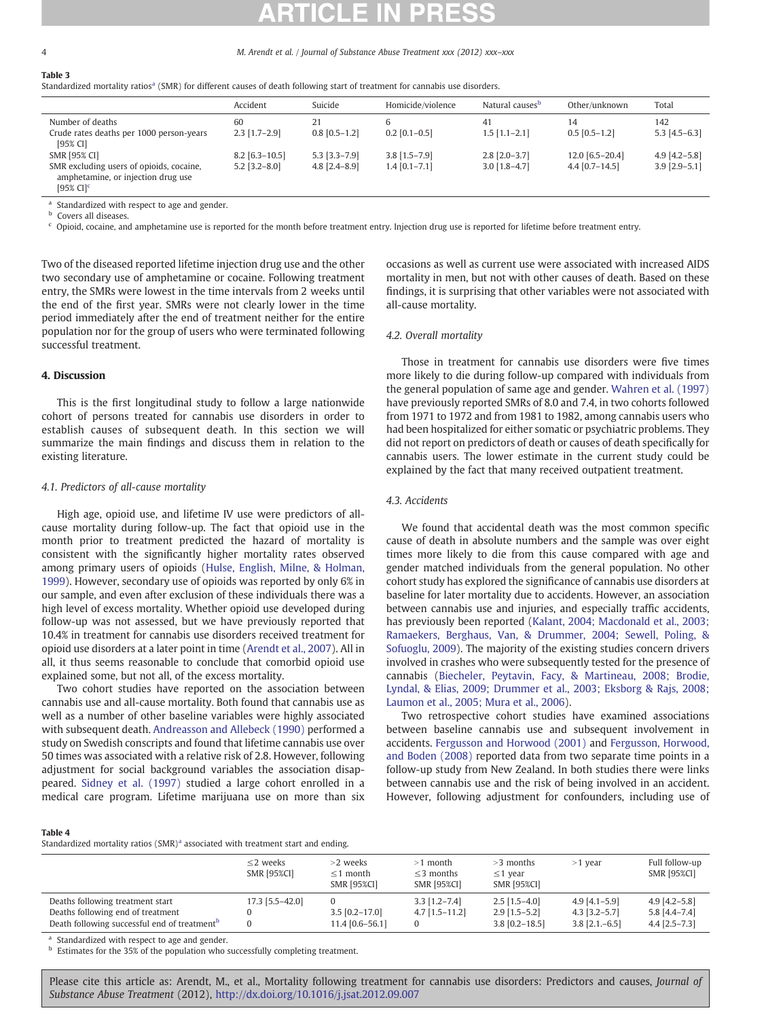<span id="page-3-0"></span>Table 3

Standardized mortality ratios<sup>a</sup> (SMR) for different causes of death following start of treatment for cannabis use disorders.

|                                                                                                       | Accident         | Suicide         | Homicide/violence | Natural causes <sup>b</sup> | Other/unknown       | Total           |
|-------------------------------------------------------------------------------------------------------|------------------|-----------------|-------------------|-----------------------------|---------------------|-----------------|
| Number of deaths                                                                                      | 60               | 21              |                   | 41                          | 14                  | 142             |
| Crude rates deaths per 1000 person-years<br>[95% CI]                                                  | $2.3$ [1.7-2.9]  | $0.8$ [0.5-1.2] | $0.2$ [0.1-0.5]   | $1.5$ [1.1-2.1]             | $0.5$ $[0.5 - 1.2]$ | $5.3$ [4.5-6.3] |
| SMR [95% CI]                                                                                          | $8.2$ [6.3-10.5] | $5.3$ [3.3-7.9] | $3.8$ [1.5-7.9]   | $2.8$ [ $2.0 - 3.7$ ]       | 12.0 [6.5-20.4]     | $4.9$ [4.2-5.8] |
| SMR excluding users of opioids, cocaine,<br>amphetamine, or injection drug use<br>[95% CI] $^{\rm c}$ | $5.2$ [3.2-8.0]  | $4.8$ [2.4-8.9] | $1.4$ [0.1-7.1]   | $3.0$ [1.8-4.7]             | 4.4 [0.7-14.5]      | $3.9$ [2.9-5.1] |

Standardized with respect to age and gender.

Covers all diseases.

<sup>c</sup> Opioid, cocaine, and amphetamine use is reported for the month before treatment entry. Injection drug use is reported for lifetime before treatment entry.

Two of the diseased reported lifetime injection drug use and the other two secondary use of amphetamine or cocaine. Following treatment entry, the SMRs were lowest in the time intervals from 2 weeks until the end of the first year. SMRs were not clearly lower in the time period immediately after the end of treatment neither for the entire population nor for the group of users who were terminated following successful treatment.

### 4. Discussion

This is the first longitudinal study to follow a large nationwide cohort of persons treated for cannabis use disorders in order to establish causes of subsequent death. In this section we will summarize the main findings and discuss them in relation to the existing literature.

### 4.1. Predictors of all-cause mortality

High age, opioid use, and lifetime IV use were predictors of allcause mortality during follow-up. The fact that opioid use in the month prior to treatment predicted the hazard of mortality is consistent with the significantly higher mortality rates observed among primary users of opioids [\(Hulse, English, Milne, & Holman,](#page-5-0) [1999\)](#page-5-0). However, secondary use of opioids was reported by only 6% in our sample, and even after exclusion of these individuals there was a high level of excess mortality. Whether opioid use developed during follow-up was not assessed, but we have previously reported that 10.4% in treatment for cannabis use disorders received treatment for opioid use disorders at a later point in time ([Arendt et al., 2007\)](#page-5-0). All in all, it thus seems reasonable to conclude that comorbid opioid use explained some, but not all, of the excess mortality.

Two cohort studies have reported on the association between cannabis use and all-cause mortality. Both found that cannabis use as well as a number of other baseline variables were highly associated with subsequent death. [Andreasson and Allebeck \(1990\)](#page-5-0) performed a study on Swedish conscripts and found that lifetime cannabis use over 50 times was associated with a relative risk of 2.8. However, following adjustment for social background variables the association disappeared. [Sidney et al. \(1997\)](#page-5-0) studied a large cohort enrolled in a medical care program. Lifetime marijuana use on more than six occasions as well as current use were associated with increased AIDS mortality in men, but not with other causes of death. Based on these findings, it is surprising that other variables were not associated with all-cause mortality.

### 4.2. Overall mortality

Those in treatment for cannabis use disorders were five times more likely to die during follow-up compared with individuals from the general population of same age and gender. [Wahren et al. \(1997\)](#page-6-0) have previously reported SMRs of 8.0 and 7.4, in two cohorts followed from 1971 to 1972 and from 1981 to 1982, among cannabis users who had been hospitalized for either somatic or psychiatric problems. They did not report on predictors of death or causes of death specifically for cannabis users. The lower estimate in the current study could be explained by the fact that many received outpatient treatment.

### 4.3. Accidents

We found that accidental death was the most common specific cause of death in absolute numbers and the sample was over eight times more likely to die from this cause compared with age and gender matched individuals from the general population. No other cohort study has explored the significance of cannabis use disorders at baseline for later mortality due to accidents. However, an association between cannabis use and injuries, and especially traffic accidents, has previously been reported [\(Kalant, 2004; Macdonald et al., 2003;](#page-5-0) [Ramaekers, Berghaus, Van, & Drummer, 2004; Sewell, Poling, &](#page-5-0) [Sofuoglu, 2009\)](#page-5-0). The majority of the existing studies concern drivers involved in crashes who were subsequently tested for the presence of cannabis [\(Biecheler, Peytavin, Facy, & Martineau, 2008; Brodie,](#page-5-0) [Lyndal, & Elias, 2009; Drummer et al., 2003; Eksborg & Rajs, 2008;](#page-5-0) [Laumon et al., 2005; Mura et al., 2006](#page-5-0)).

Two retrospective cohort studies have examined associations between baseline cannabis use and subsequent involvement in accidents. [Fergusson and Horwood \(2001\)](#page-5-0) and [Fergusson, Horwood,](#page-5-0) [and Boden \(2008\)](#page-5-0) reported data from two separate time points in a follow-up study from New Zealand. In both studies there were links between cannabis use and the risk of being involved in an accident. However, following adjustment for confounders, including use of

### Table 4

Standardized mortality ratios  $(SMR)^a$  associated with treatment start and ending.

|                                                                                                                                   | $\leq$ 2 weeks<br><b>SMR [95%CI]</b> | >2 weeks<br>$\leq$ 1 month<br><b>SMR [95%CI]</b> | $>1$ month<br>$\leq$ 3 months<br><b>SMR [95%CI]</b> | $>3$ months<br>$\leq$ 1 year<br><b>SMR [95%CI]</b>     | $>1$ vear                                                      | Full follow-up<br><b>SMR [95%CI]</b>                  |
|-----------------------------------------------------------------------------------------------------------------------------------|--------------------------------------|--------------------------------------------------|-----------------------------------------------------|--------------------------------------------------------|----------------------------------------------------------------|-------------------------------------------------------|
| Deaths following treatment start<br>Deaths following end of treatment<br>Death following successful end of treatment <sup>b</sup> | 17.3 [5.5-42.0]                      | $3.5$ [0.2-17.0]<br>11.4 [0.6-56.1]              | $3.3$ [1.2-7.4]<br>$4.7$ [1.5-11.2]<br>0            | $2.5$ [1.5-4.0]<br>$2.9$ [1.5-5.2]<br>$3.8$ [0.2-18.5] | $4.9$ [ $4.1 - 5.9$ ]<br>$4.3$ [3.2-5.7]<br>$3.8$ [2.1. - 6.5] | $4.9$ [4.2-5.8]<br>$5.8$ [4.4-7.4]<br>$4.4$ [2.5-7.3] |

<sup>a</sup> Standardized with respect to age and gender.

**b** Estimates for the 35% of the population who successfully completing treatment.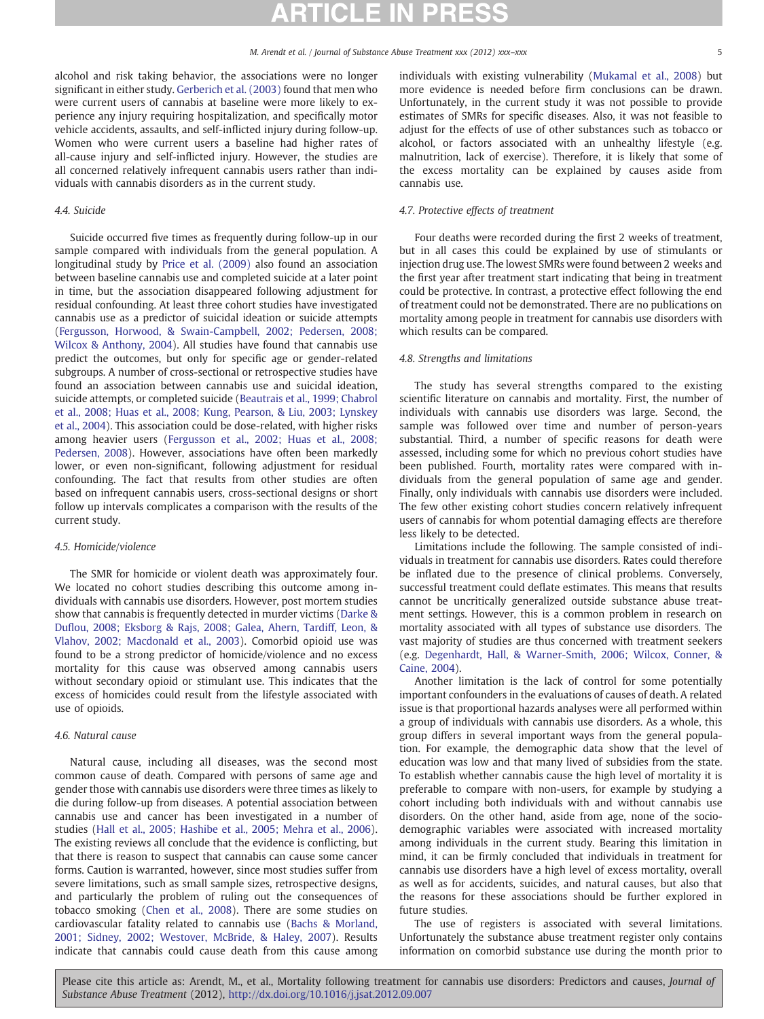alcohol and risk taking behavior, the associations were no longer significant in either study. [Gerberich et al. \(2003\)](#page-5-0) found that men who were current users of cannabis at baseline were more likely to experience any injury requiring hospitalization, and specifically motor vehicle accidents, assaults, and self-inflicted injury during follow-up. Women who were current users a baseline had higher rates of all-cause injury and self-inflicted injury. However, the studies are all concerned relatively infrequent cannabis users rather than individuals with cannabis disorders as in the current study.

### 4.4. Suicide

Suicide occurred five times as frequently during follow-up in our sample compared with individuals from the general population. A longitudinal study by [Price et al. \(2009\)](#page-5-0) also found an association between baseline cannabis use and completed suicide at a later point in time, but the association disappeared following adjustment for residual confounding. At least three cohort studies have investigated cannabis use as a predictor of suicidal ideation or suicide attempts [\(Fergusson, Horwood, & Swain-Campbell, 2002; Pedersen, 2008;](#page-5-0) [Wilcox & Anthony, 2004\)](#page-5-0). All studies have found that cannabis use predict the outcomes, but only for specific age or gender-related subgroups. A number of cross-sectional or retrospective studies have found an association between cannabis use and suicidal ideation, suicide attempts, or completed suicide [\(Beautrais et al., 1999; Chabrol](#page-5-0) [et al., 2008; Huas et al., 2008; Kung, Pearson, & Liu, 2003; Lynskey](#page-5-0) [et al., 2004](#page-5-0)). This association could be dose-related, with higher risks among heavier users ([Fergusson et al., 2002; Huas et al., 2008;](#page-5-0) [Pedersen, 2008](#page-5-0)). However, associations have often been markedly lower, or even non-significant, following adjustment for residual confounding. The fact that results from other studies are often based on infrequent cannabis users, cross-sectional designs or short follow up intervals complicates a comparison with the results of the current study.

### 4.5. Homicide/violence

The SMR for homicide or violent death was approximately four. We located no cohort studies describing this outcome among individuals with cannabis use disorders. However, post mortem studies show that cannabis is frequently detected in murder victims ([Darke &](#page-5-0) Dufl[ou, 2008; Eksborg & Rajs, 2008; Galea, Ahern, Tardiff, Leon, &](#page-5-0) [Vlahov, 2002; Macdonald et al., 2003](#page-5-0)). Comorbid opioid use was found to be a strong predictor of homicide/violence and no excess mortality for this cause was observed among cannabis users without secondary opioid or stimulant use. This indicates that the excess of homicides could result from the lifestyle associated with use of opioids.

### 4.6. Natural cause

Natural cause, including all diseases, was the second most common cause of death. Compared with persons of same age and gender those with cannabis use disorders were three times as likely to die during follow-up from diseases. A potential association between cannabis use and cancer has been investigated in a number of studies ([Hall et al., 2005; Hashibe et al., 2005; Mehra et al., 2006](#page-5-0)). The existing reviews all conclude that the evidence is conflicting, but that there is reason to suspect that cannabis can cause some cancer forms. Caution is warranted, however, since most studies suffer from severe limitations, such as small sample sizes, retrospective designs, and particularly the problem of ruling out the consequences of tobacco smoking ([Chen et al., 2008](#page-5-0)). There are some studies on cardiovascular fatality related to cannabis use [\(Bachs & Morland,](#page-5-0) [2001; Sidney, 2002; Westover, McBride, & Haley, 2007\)](#page-5-0). Results indicate that cannabis could cause death from this cause among

individuals with existing vulnerability [\(Mukamal et al., 2008](#page-5-0)) but more evidence is needed before firm conclusions can be drawn. Unfortunately, in the current study it was not possible to provide estimates of SMRs for specific diseases. Also, it was not feasible to adjust for the effects of use of other substances such as tobacco or alcohol, or factors associated with an unhealthy lifestyle (e.g. malnutrition, lack of exercise). Therefore, it is likely that some of the excess mortality can be explained by causes aside from cannabis use.

### 4.7. Protective effects of treatment

Four deaths were recorded during the first 2 weeks of treatment, but in all cases this could be explained by use of stimulants or injection drug use. The lowest SMRs were found between 2 weeks and the first year after treatment start indicating that being in treatment could be protective. In contrast, a protective effect following the end of treatment could not be demonstrated. There are no publications on mortality among people in treatment for cannabis use disorders with which results can be compared.

### 4.8. Strengths and limitations

The study has several strengths compared to the existing scientific literature on cannabis and mortality. First, the number of individuals with cannabis use disorders was large. Second, the sample was followed over time and number of person-years substantial. Third, a number of specific reasons for death were assessed, including some for which no previous cohort studies have been published. Fourth, mortality rates were compared with individuals from the general population of same age and gender. Finally, only individuals with cannabis use disorders were included. The few other existing cohort studies concern relatively infrequent users of cannabis for whom potential damaging effects are therefore less likely to be detected.

Limitations include the following. The sample consisted of individuals in treatment for cannabis use disorders. Rates could therefore be inflated due to the presence of clinical problems. Conversely, successful treatment could deflate estimates. This means that results cannot be uncritically generalized outside substance abuse treatment settings. However, this is a common problem in research on mortality associated with all types of substance use disorders. The vast majority of studies are thus concerned with treatment seekers (e.g. [Degenhardt, Hall, & Warner-Smith, 2006; Wilcox, Conner, &](#page-5-0) [Caine, 2004\)](#page-5-0).

Another limitation is the lack of control for some potentially important confounders in the evaluations of causes of death. A related issue is that proportional hazards analyses were all performed within a group of individuals with cannabis use disorders. As a whole, this group differs in several important ways from the general population. For example, the demographic data show that the level of education was low and that many lived of subsidies from the state. To establish whether cannabis cause the high level of mortality it is preferable to compare with non-users, for example by studying a cohort including both individuals with and without cannabis use disorders. On the other hand, aside from age, none of the sociodemographic variables were associated with increased mortality among individuals in the current study. Bearing this limitation in mind, it can be firmly concluded that individuals in treatment for cannabis use disorders have a high level of excess mortality, overall as well as for accidents, suicides, and natural causes, but also that the reasons for these associations should be further explored in future studies.

The use of registers is associated with several limitations. Unfortunately the substance abuse treatment register only contains information on comorbid substance use during the month prior to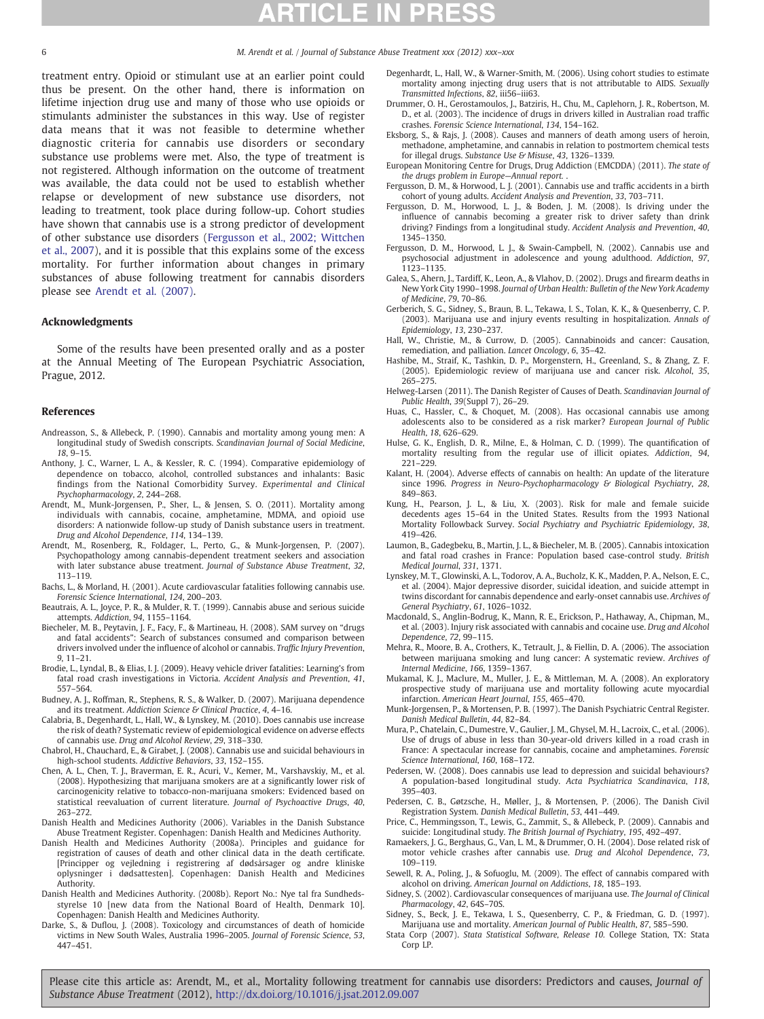<span id="page-5-0"></span>

treatment entry. Opioid or stimulant use at an earlier point could thus be present. On the other hand, there is information on lifetime injection drug use and many of those who use opioids or stimulants administer the substances in this way. Use of register data means that it was not feasible to determine whether diagnostic criteria for cannabis use disorders or secondary substance use problems were met. Also, the type of treatment is not registered. Although information on the outcome of treatment was available, the data could not be used to establish whether relapse or development of new substance use disorders, not leading to treatment, took place during follow-up. Cohort studies have shown that cannabis use is a strong predictor of development of other substance use disorders (Fergusson et al., 2002; Wittchen et al., 2007), and it is possible that this explains some of the excess mortality. For further information about changes in primary substances of abuse following treatment for cannabis disorders please see Arendt et al. (2007).

### Acknowledgments

Some of the results have been presented orally and as a poster at the Annual Meeting of The European Psychiatric Association, Prague, 2012.

### References

- Andreasson, S., & Allebeck, P. (1990). Cannabis and mortality among young men: A longitudinal study of Swedish conscripts. Scandinavian Journal of Social Medicine, 18, 9–15.
- Anthony, J. C., Warner, L. A., & Kessler, R. C. (1994). Comparative epidemiology of dependence on tobacco, alcohol, controlled substances and inhalants: Basic findings from the National Comorbidity Survey. Experimental and Clinical Psychopharmacology, 2, 244–268.
- Arendt, M., Munk-Jorgensen, P., Sher, L., & Jensen, S. O. (2011). Mortality among individuals with cannabis, cocaine, amphetamine, MDMA, and opioid use disorders: A nationwide follow-up study of Danish substance users in treatment. Drug and Alcohol Dependence, 114, 134–139.
- Arendt, M., Rosenberg, R., Foldager, L., Perto, G., & Munk-Jorgensen, P. (2007). Psychopathology among cannabis-dependent treatment seekers and association with later substance abuse treatment. Journal of Substance Abuse Treatment, 32, 113–119.
- Bachs, L., & Morland, H. (2001). Acute cardiovascular fatalities following cannabis use. Forensic Science International, 124, 200–203.
- Beautrais, A. L., Joyce, P. R., & Mulder, R. T. (1999). Cannabis abuse and serious suicide attempts. Addiction, 94, 1155–1164.
- Biecheler, M. B., Peytavin, J. F., Facy, F., & Martineau, H. (2008). SAM survey on "drugs and fatal accidents": Search of substances consumed and comparison between drivers involved under the influence of alcohol or cannabis. Traffic Injury Prevention, 9, 11–21.
- Brodie, L., Lyndal, B., & Elias, I. J. (2009). Heavy vehicle driver fatalities: Learning's from fatal road crash investigations in Victoria. Accident Analysis and Prevention, 41, 557–564.
- Budney, A. J., Roffman, R., Stephens, R. S., & Walker, D. (2007). Marijuana dependence and its treatment. Addiction Science & Clinical Practice, 4, 4–16.
- Calabria, B., Degenhardt, L., Hall, W., & Lynskey, M. (2010). Does cannabis use increase the risk of death? Systematic review of epidemiological evidence on adverse effects of cannabis use. Drug and Alcohol Review, 29, 318–330.
- Chabrol, H., Chauchard, E., & Girabet, J. (2008). Cannabis use and suicidal behaviours in high-school students. Addictive Behaviors, 33, 152–155.
- Chen, A. L., Chen, T. J., Braverman, E. R., Acuri, V., Kemer, M., Varshavskiy, M., et al. (2008). Hypothesizing that marijuana smokers are at a significantly lower risk of carcinogenicity relative to tobacco-non-marijuana smokers: Evidenced based on statistical reevaluation of current literature. Journal of Psychoactive Drugs, 40, 263–272.
- Danish Health and Medicines Authority (2006). Variables in the Danish Substance Abuse Treatment Register. Copenhagen: Danish Health and Medicines Authority.
- Danish Health and Medicines Authority (2008a). Principles and guidance for registration of causes of death and other clinical data in the death certificate. [Principper og vejledning i registrering af dødsårsager og andre kliniske oplysninger i dødsattesten]. Copenhagen: Danish Health and Medicines Authority.
- Danish Health and Medicines Authority. (2008b). Report No.: Nye tal fra Sundhedsstyrelse 10 [new data from the National Board of Health, Denmark 10]. Copenhagen: Danish Health and Medicines Authority.
- Darke, S., & Duflou, J. (2008). Toxicology and circumstances of death of homicide victims in New South Wales, Australia 1996–2005. Journal of Forensic Science, 53, 447–451.
- Degenhardt, L., Hall, W., & Warner-Smith, M. (2006). Using cohort studies to estimate mortality among injecting drug users that is not attributable to AIDS. Sexually Transmitted Infections, 82, iii56–iii63.
- Drummer, O. H., Gerostamoulos, J., Batziris, H., Chu, M., Caplehorn, J. R., Robertson, M. D., et al. (2003). The incidence of drugs in drivers killed in Australian road traffic crashes. Forensic Science International, 134, 154–162.
- Eksborg, S., & Rajs, J. (2008). Causes and manners of death among users of heroin, methadone, amphetamine, and cannabis in relation to postmortem chemical tests for illegal drugs. Substance Use & Misuse, 43, 1326-1339.
- European Monitoring Centre for Drugs, Drug Addiction (EMCDDA) (2011). The state of the drugs problem in Europe—Annual report. .
- Fergusson, D. M., & Horwood, L. J. (2001). Cannabis use and traffic accidents in a birth cohort of young adults. Accident Analysis and Prevention, 33, 703–711.
- Fergusson, D. M., Horwood, L. J., & Boden, J. M. (2008). Is driving under the influence of cannabis becoming a greater risk to driver safety than drink driving? Findings from a longitudinal study. Accident Analysis and Prevention, 40, 1345–1350.
- Fergusson, D. M., Horwood, L. J., & Swain-Campbell, N. (2002). Cannabis use and psychosocial adjustment in adolescence and young adulthood. Addiction, 97, 1123–1135.
- Galea, S., Ahern, J., Tardiff, K., Leon, A., & Vlahov, D. (2002). Drugs and firearm deaths in New York City 1990–1998. Journal of Urban Health: Bulletin of the New York Academy of Medicine, 79, 70–86.
- Gerberich, S. G., Sidney, S., Braun, B. L., Tekawa, I. S., Tolan, K. K., & Quesenberry, C. P. (2003). Marijuana use and injury events resulting in hospitalization. Annals of Epidemiology, 13, 230–237.
- Hall, W., Christie, M., & Currow, D. (2005). Cannabinoids and cancer: Causation, remediation, and palliation. Lancet Oncology, 6, 35–42.
- Hashibe, M., Straif, K., Tashkin, D. P., Morgenstern, H., Greenland, S., & Zhang, Z. F. (2005). Epidemiologic review of marijuana use and cancer risk. Alcohol, 35, 265–275.
- Helweg-Larsen (2011). The Danish Register of Causes of Death. Scandinavian Journal of Public Health, 39(Suppl 7), 26–29.
- Huas, C., Hassler, C., & Choquet, M. (2008). Has occasional cannabis use among adolescents also to be considered as a risk marker? European Journal of Public Health, 18, 626–629.
- Hulse, G. K., English, D. R., Milne, E., & Holman, C. D. (1999). The quantification of mortality resulting from the regular use of illicit opiates. Addiction, 94, 221–229.
- Kalant, H. (2004). Adverse effects of cannabis on health: An update of the literature since 1996. Progress in Neuro-Psychopharmacology & Biological Psychiatry, 28, 849–863.
- Kung, H., Pearson, J. L., & Liu, X. (2003). Risk for male and female suicide decedents ages 15–64 in the United States. Results from the 1993 National Mortality Followback Survey. Social Psychiatry and Psychiatric Epidemiology, 38, 419–426.
- Laumon, B., Gadegbeku, B., Martin, J. L., & Biecheler, M. B. (2005). Cannabis intoxication and fatal road crashes in France: Population based case-control study. British Medical Journal, 331, 1371.
- Lynskey, M. T., Glowinski, A. L., Todorov, A. A., Bucholz, K. K., Madden, P. A., Nelson, E. C., et al. (2004). Major depressive disorder, suicidal ideation, and suicide attempt in twins discordant for cannabis dependence and early-onset cannabis use. Archives of General Psychiatry, 61, 1026–1032.
- Macdonald, S., Anglin-Bodrug, K., Mann, R. E., Erickson, P., Hathaway, A., Chipman, M., et al. (2003). Injury risk associated with cannabis and cocaine use. Drug and Alcohol Dependence, 72, 99–115.
- Mehra, R., Moore, B. A., Crothers, K., Tetrault, J., & Fiellin, D. A. (2006). The association between marijuana smoking and lung cancer: A systematic review. Archives of Internal Medicine, 166, 1359–1367.
- Mukamal, K. J., Maclure, M., Muller, J. E., & Mittleman, M. A. (2008). An exploratory prospective study of marijuana use and mortality following acute myocardial infarction. American Heart Journal, 155, 465–470.
- Munk-Jorgensen, P., & Mortensen, P. B. (1997). The Danish Psychiatric Central Register. Danish Medical Bulletin, 44, 82–84.
- Mura, P., Chatelain, C., Dumestre, V., Gaulier, J. M., Ghysel, M. H., Lacroix, C., et al. (2006). Use of drugs of abuse in less than 30-year-old drivers killed in a road crash in France: A spectacular increase for cannabis, cocaine and amphetamines. Forensic Science International, 160, 168–172.
- Pedersen, W. (2008). Does cannabis use lead to depression and suicidal behaviours? A population-based longitudinal study. Acta Psychiatrica Scandinavica, 118, 395–403.
- Pedersen, C. B., Gøtzsche, H., Møller, J., & Mortensen, P. (2006). The Danish Civil Registration System. Danish Medical Bulletin, 53, 441–449.
- Price, C., Hemmingsson, T., Lewis, G., Zammit, S., & Allebeck, P. (2009). Cannabis and suicide: Longitudinal study. The British Journal of Psychiatry, 195, 492–497.
- Ramaekers, J. G., Berghaus, G., Van, L. M., & Drummer, O. H. (2004). Dose related risk of motor vehicle crashes after cannabis use. Drug and Alcohol Dependence, 73, 109–119.
- Sewell, R. A., Poling, J., & Sofuoglu, M. (2009). The effect of cannabis compared with alcohol on driving. American Journal on Addictions, 18, 185–193.
- Sidney, S. (2002). Cardiovascular consequences of marijuana use. The Journal of Clinical Pharmacology, 42, 64S–70S.
- Sidney, S., Beck, J. E., Tekawa, I. S., Quesenberry, C. P., & Friedman, G. D. (1997). Marijuana use and mortality. American Journal of Public Health, 87, 585–590.
- Stata Corp (2007). Stata Statistical Software, Release 10. College Station, TX: Stata Corp LP.